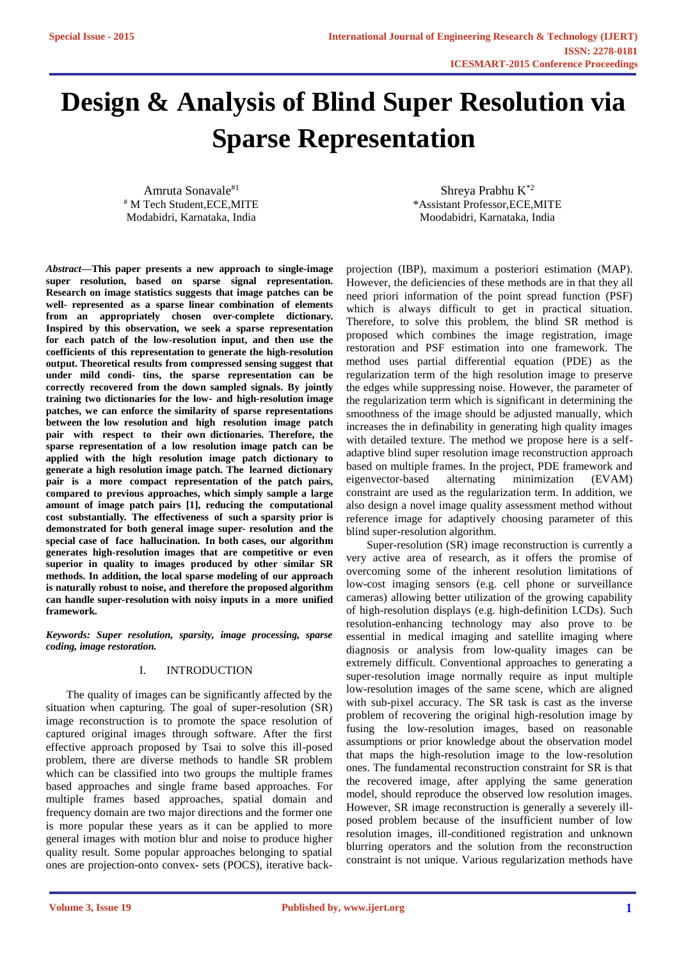# **Design & Analysis of Blind Super Resolution via Sparse Representation**

Amruta Sonavale#1 # M Tech Student,ECE,MITE Modabidri, Karnataka, India

Shreya Prabhu K\*2 \*Assistant Professor,ECE,MITE Moodabidri, Karnataka, India

*Abstract***—This paper presents a new approach to single-image super resolution, based on sparse signal representation. Research on image statistics suggests that image patches can be well- represented as a sparse linear combination of elements from an appropriately chosen over-complete dictionary. Inspired by this observation, we seek a sparse representation for each patch of the low-resolution input, and then use the coefficients of this representation to generate the high-resolution output. Theoretical results from compressed sensing suggest that under mild condi- tins, the sparse representation can be correctly recovered from the down sampled signals. By jointly training two dictionaries for the low- and high-resolution image patches, we can enforce the similarity of sparse representations between the low resolution and high resolution image patch pair with respect to their own dictionaries. Therefore, the sparse representation of a low resolution image patch can be applied with the high resolution image patch dictionary to generate a high resolution image patch. The learned dictionary pair is a more compact representation of the patch pairs, compared to previous approaches, which simply sample a large amount of image patch pairs [1], reducing the computational cost substantially. The effectiveness of such a sparsity prior is demonstrated for both general image super- resolution and the special case of face hallucination. In both cases, our algorithm generates high-resolution images that are competitive or even superior in quality to images produced by other similar SR methods. In addition, the local sparse modeling of our approach is naturally robust to noise, and therefore the proposed algorithm can handle super-resolution with noisy inputs in a more unified framework.**

*Keywords: Super resolution, sparsity, image processing, sparse coding, image restoration.*

## I. INTRODUCTION

The quality of images can be significantly affected by the situation when capturing. The goal of super-resolution (SR) image reconstruction is to promote the space resolution of captured original images through software. After the first effective approach proposed by Tsai to solve this ill-posed problem, there are diverse methods to handle SR problem which can be classified into two groups the multiple frames based approaches and single frame based approaches. For multiple frames based approaches, spatial domain and frequency domain are two major directions and the former one is more popular these years as it can be applied to more general images with motion blur and noise to produce higher quality result. Some popular approaches belonging to spatial ones are projection-onto convex- sets (POCS), iterative backprojection (IBP), maximum a posteriori estimation (MAP). However, the deficiencies of these methods are in that they all need priori information of the point spread function (PSF) which is always difficult to get in practical situation. Therefore, to solve this problem, the blind SR method is proposed which combines the image registration, image restoration and PSF estimation into one framework. The method uses partial differential equation (PDE) as the regularization term of the high resolution image to preserve the edges while suppressing noise. However, the parameter of the regularization term which is significant in determining the smoothness of the image should be adjusted manually, which increases the in definability in generating high quality images with detailed texture. The method we propose here is a selfadaptive blind super resolution image reconstruction approach based on multiple frames. In the project, PDE framework and eigenvector-based alternating minimization (EVAM) constraint are used as the regularization term. In addition, we also design a novel image quality assessment method without reference image for adaptively choosing parameter of this blind super-resolution algorithm.

Super-resolution (SR) image reconstruction is currently a very active area of research, as it offers the promise of overcoming some of the inherent resolution limitations of low-cost imaging sensors (e.g. cell phone or surveillance cameras) allowing better utilization of the growing capability of high-resolution displays (e.g. high-definition LCDs). Such resolution-enhancing technology may also prove to be essential in medical imaging and satellite imaging where diagnosis or analysis from low-quality images can be extremely difficult. Conventional approaches to generating a super-resolution image normally require as input multiple low-resolution images of the same scene, which are aligned with sub-pixel accuracy. The SR task is cast as the inverse problem of recovering the original high-resolution image by fusing the low-resolution images, based on reasonable assumptions or prior knowledge about the observation model that maps the high-resolution image to the low-resolution ones. The fundamental reconstruction constraint for SR is that the recovered image, after applying the same generation model, should reproduce the observed low resolution images. However, SR image reconstruction is generally a severely illposed problem because of the insufficient number of low resolution images, ill-conditioned registration and unknown blurring operators and the solution from the reconstruction constraint is not unique. Various regularization methods have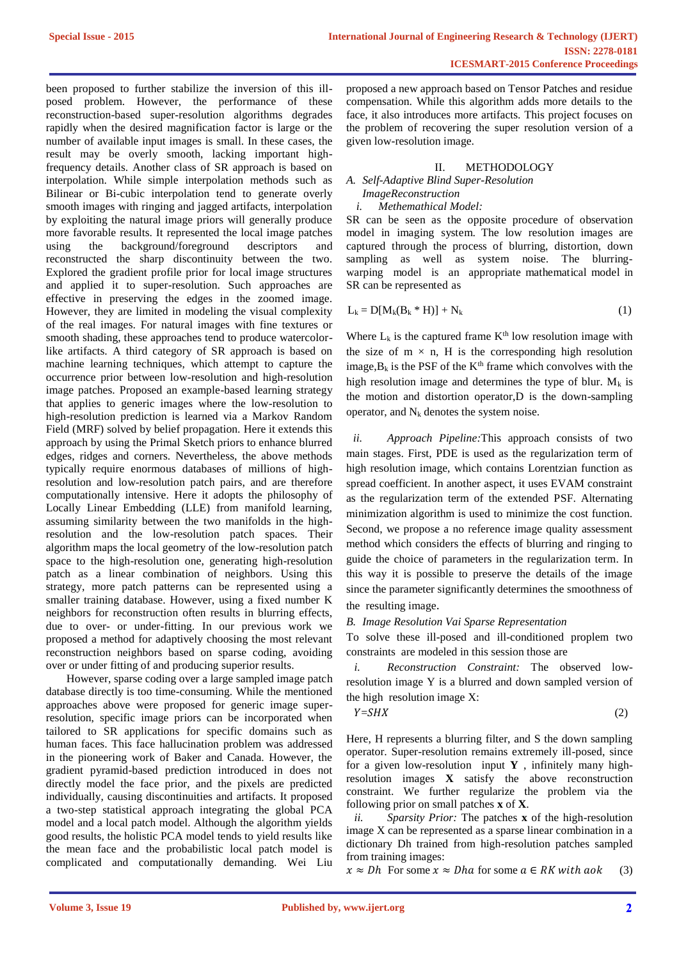been proposed to further stabilize the inversion of this illposed problem. However, the performance of these reconstruction-based super-resolution algorithms degrades rapidly when the desired magnification factor is large or the number of available input images is small. In these cases, the result may be overly smooth, lacking important highfrequency details. Another class of SR approach is based on interpolation. While simple interpolation methods such as Bilinear or Bi-cubic interpolation tend to generate overly smooth images with ringing and jagged artifacts, interpolation by exploiting the natural image priors will generally produce more favorable results. It represented the local image patches using the background/foreground descriptors and reconstructed the sharp discontinuity between the two. Explored the gradient profile prior for local image structures and applied it to super-resolution. Such approaches are effective in preserving the edges in the zoomed image. However, they are limited in modeling the visual complexity of the real images. For natural images with fine textures or smooth shading, these approaches tend to produce watercolorlike artifacts. A third category of SR approach is based on machine learning techniques, which attempt to capture the occurrence prior between low-resolution and high-resolution image patches. Proposed an example-based learning strategy that applies to generic images where the low-resolution to high-resolution prediction is learned via a Markov Random Field (MRF) solved by belief propagation. Here it extends this approach by using the Primal Sketch priors to enhance blurred edges, ridges and corners. Nevertheless, the above methods typically require enormous databases of millions of highresolution and low-resolution patch pairs, and are therefore computationally intensive. Here it adopts the philosophy of Locally Linear Embedding (LLE) from manifold learning, assuming similarity between the two manifolds in the highresolution and the low-resolution patch spaces. Their algorithm maps the local geometry of the low-resolution patch space to the high-resolution one, generating high-resolution patch as a linear combination of neighbors. Using this strategy, more patch patterns can be represented using a smaller training database. However, using a fixed number K neighbors for reconstruction often results in blurring effects, due to over- or under-fitting. In our previous work we proposed a method for adaptively choosing the most relevant reconstruction neighbors based on sparse coding, avoiding over or under fitting of and producing superior results.

However, sparse coding over a large sampled image patch database directly is too time-consuming. While the mentioned approaches above were proposed for generic image superresolution, specific image priors can be incorporated when tailored to SR applications for specific domains such as human faces. This face hallucination problem was addressed in the pioneering work of Baker and Canada. However, the gradient pyramid-based prediction introduced in does not directly model the face prior, and the pixels are predicted individually, causing discontinuities and artifacts. It proposed a two-step statistical approach integrating the global PCA model and a local patch model. Although the algorithm yields good results, the holistic PCA model tends to yield results like the mean face and the probabilistic local patch model is complicated and computationally demanding. Wei Liu

proposed a new approach based on Tensor Patches and residue compensation. While this algorithm adds more details to the face, it also introduces more artifacts. This project focuses on the problem of recovering the super resolution version of a given low-resolution image.

# II. METHODOLOGY

# *A. Self-Adaptive Blind Super-Resolution*

#### *ImageReconstruction i. Methemathical Model:*

SR can be seen as the opposite procedure of observation model in imaging system. The low resolution images are captured through the process of blurring, distortion, down sampling as well as system noise. The blurringwarping model is an appropriate mathematical model in SR can be represented as

$$
L_k = D[M_k(B_k * H)] + N_k
$$
\n(1)

Where  $L_k$  is the captured frame  $K<sup>th</sup>$  low resolution image with the size of  $m \times n$ , H is the corresponding high resolution image, $B_k$  is the PSF of the K<sup>th</sup> frame which convolves with the high resolution image and determines the type of blur.  $M_k$  is the motion and distortion operator,D is the down-sampling operator, and  $N_k$  denotes the system noise.

*ii. Approach Pipeline:*This approach consists of two main stages. First, PDE is used as the regularization term of high resolution image, which contains Lorentzian function as spread coefficient. In another aspect, it uses EVAM constraint as the regularization term of the extended PSF. Alternating minimization algorithm is used to minimize the cost function. Second, we propose a no reference image quality assessment method which considers the effects of blurring and ringing to guide the choice of parameters in the regularization term. In this way it is possible to preserve the details of the image since the parameter significantly determines the smoothness of the resulting image.

## *B. Image Resolution Vai Sparse Representation*

To solve these ill-posed and ill-conditioned proplem two constraints are modeled in this session those are

*i. Reconstruction Constraint:* The observed lowresolution image Y is a blurred and down sampled version of the high resolution image X:

$$
Y = SHX \tag{2}
$$

Here, H represents a blurring filter, and S the down sampling operator. Super-resolution remains extremely ill-posed, since for a given low-resolution input **Y** , infinitely many highresolution images **X** satisfy the above reconstruction constraint. We further regularize the problem via the following prior on small patches **x** of **X**.

*ii. Sparsity Prior:* The patches **x** of the high-resolution image X can be represented as a sparse linear combination in a dictionary Dh trained from high-resolution patches sampled from training images:

 $x \approx Dh$  For some  $x \approx Dh$  a for some  $a \in RK$  with aok (3)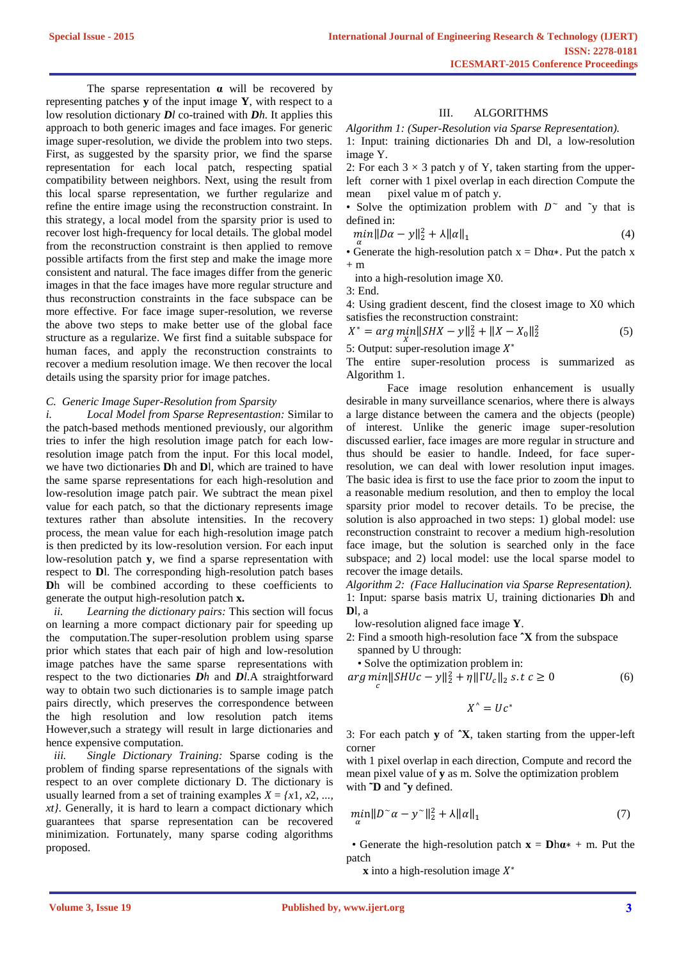The sparse representation **α** will be recovered by representing patches **y** of the input image **Y**, with respect to a low resolution dictionary *Dl* co-trained with *Dh.* It applies this approach to both generic images and face images. For generic image super-resolution, we divide the problem into two steps. First, as suggested by the sparsity prior, we find the sparse representation for each local patch, respecting spatial compatibility between neighbors. Next, using the result from this local sparse representation, we further regularize and refine the entire image using the reconstruction constraint. In this strategy, a local model from the sparsity prior is used to recover lost high-frequency for local details. The global model from the reconstruction constraint is then applied to remove possible artifacts from the first step and make the image more consistent and natural. The face images differ from the generic images in that the face images have more regular structure and thus reconstruction constraints in the face subspace can be more effective. For face image super-resolution, we reverse the above two steps to make better use of the global face structure as a regularize. We first find a suitable subspace for human faces, and apply the reconstruction constraints to recover a medium resolution image. We then recover the local details using the sparsity prior for image patches.

#### *C. Generic Image Super-Resolution from Sparsity*

*i. Local Model from Sparse Representastion:* Similar to the patch-based methods mentioned previously, our algorithm tries to infer the high resolution image patch for each lowresolution image patch from the input. For this local model, we have two dictionaries **D**h and **D**l, which are trained to have the same sparse representations for each high-resolution and low-resolution image patch pair. We subtract the mean pixel value for each patch, so that the dictionary represents image textures rather than absolute intensities. In the recovery process, the mean value for each high-resolution image patch is then predicted by its low-resolution version. For each input low-resolution patch **y**, we find a sparse representation with respect to **D**l. The corresponding high-resolution patch bases **D**h will be combined according to these coefficients to generate the output high-resolution patch **x.**

*ii. Learning the dictionary pairs:* This section will focus on learning a more compact dictionary pair for speeding up the computation.The super-resolution problem using sparse prior which states that each pair of high and low-resolution image patches have the same sparse representations with respect to the two dictionaries *Dh* and *Dl*.A straightforward way to obtain two such dictionaries is to sample image patch pairs directly, which preserves the correspondence between the high resolution and low resolution patch items However,such a strategy will result in large dictionaries and hence expensive computation.

*iii. Single Dictionary Training:* Sparse coding is the problem of finding sparse representations of the signals with respect to an over complete dictionary D. The dictionary is usually learned from a set of training examples  $X = \{x1, x2, \ldots\}$ *xt}*. Generally, it is hard to learn a compact dictionary which guarantees that sparse representation can be recovered minimization. Fortunately, many sparse coding algorithms proposed.

## III. ALGORITHMS

*Algorithm 1: (Super-Resolution via Sparse Representation).* 1: Input: training dictionaries Dh and Dl, a low-resolution image Y.

2: For each  $3 \times 3$  patch y of Y, taken starting from the upperleft corner with 1 pixel overlap in each direction Compute the mean pixel value m of patch y.

• Solve the optimization problem with  $D^{\sim}$  and  $\tilde{y}$  that is defined in:

$$
\min_{\alpha} \|D\alpha - y\|_2^2 + \lambda \|\alpha\|_1 \tag{4}
$$

• Generate the high-resolution patch  $x = Dh\alpha *$ . Put the patch x  $+$  m

into a high-resolution image X0.

3: End.

4: Using gradient descent, find the closest image to X0 which satisfies the reconstruction constraint:

 $X^* = arg \min_X ||SHX - y||_2^2 + ||X - X_0||_2^2$ (5)

5: Output: super-resolution image  $X^*$ 

The entire super-resolution process is summarized as Algorithm 1.

Face image resolution enhancement is usually desirable in many surveillance scenarios, where there is always a large distance between the camera and the objects (people) of interest. Unlike the generic image super-resolution discussed earlier, face images are more regular in structure and thus should be easier to handle. Indeed, for face superresolution, we can deal with lower resolution input images. The basic idea is first to use the face prior to zoom the input to a reasonable medium resolution, and then to employ the local sparsity prior model to recover details. To be precise, the solution is also approached in two steps: 1) global model: use reconstruction constraint to recover a medium high-resolution face image, but the solution is searched only in the face subspace; and 2) local model: use the local sparse model to recover the image details.

*Algorithm 2: (Face Hallucination via Sparse Representation).* 1: Input: sparse basis matrix U, training dictionaries **D**h and **D**l, a

low-resolution aligned face image **Y**.

2: Find a smooth high-resolution face **ˆX** from the subspace spanned by U through:

• Solve the optimization problem in:

$$
\arg\min_{c} \|SHUc - y\|_{2}^{2} + \eta \| \Gamma U_{c} \|_{2} \text{ s.t } c \ge 0
$$
\n(6)

$$
X^{\wedge} = Uc^*
$$

3: For each patch **y** of **ˆX**, taken starting from the upper-left corner

with 1 pixel overlap in each direction, Compute and record the mean pixel value of **y** as m. Solve the optimization problem with **˜D** and **˜y** defined.

$$
\min_{\alpha} \|D^{\sim}\alpha - \mathbf{y}^{\sim}\|_2^2 + \lambda \|\alpha\|_1 \tag{7}
$$

• Generate the high-resolution patch  $\mathbf{x} = \mathbf{D}\mathbf{h}\mathbf{a}^* + \mathbf{m}$ . Put the patch

**x** into a high-resolution image  $X^*$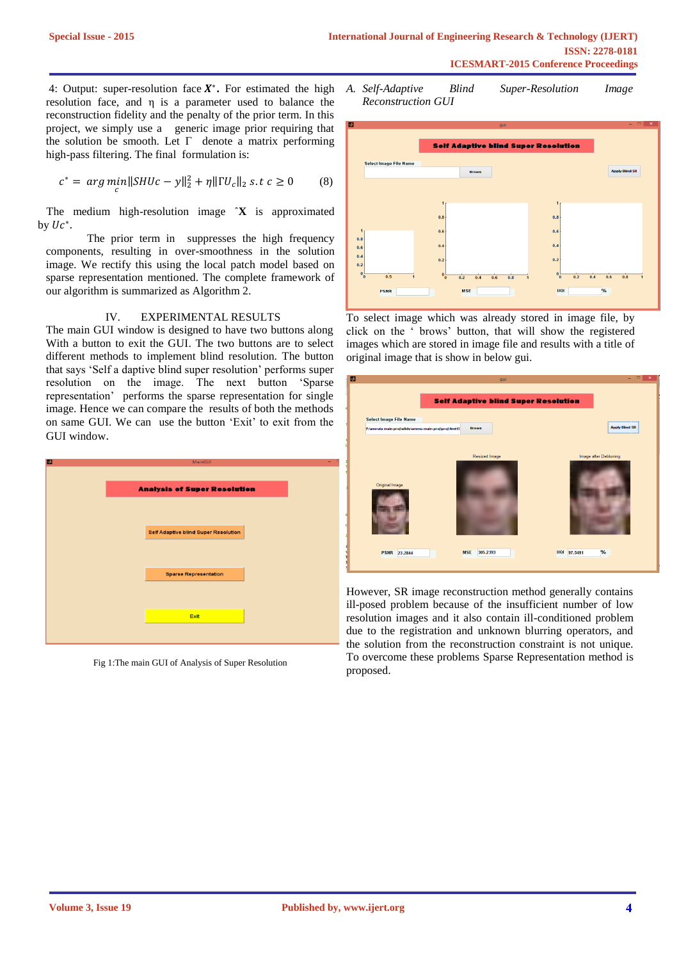4: Output: super-resolution face  $X^*$ . For estimated the high resolution face, and η is a parameter used to balance the reconstruction fidelity and the penalty of the prior term. In this project, we simply use a generic image prior requiring that the solution be smooth. Let Γ denote a matrix performing high-pass filtering. The final formulation is:

$$
c^* = \arg\min_c \|SHUc - y\|_2^2 + \eta \|TU_c\|_2 \text{ s.t } c \ge 0 \tag{8}
$$

 The medium high-resolution image ˆ**X** is approximated by  $Uc^*$ .

The prior term in suppresses the high frequency components, resulting in over-smoothness in the solution image. We rectify this using the local patch model based on sparse representation mentioned. The complete framework of our algorithm is summarized as Algorithm 2.

### IV. EXPERIMENTAL RESULTS

The main GUI window is designed to have two buttons along With a button to exit the GUI. The two buttons are to select different methods to implement blind resolution. The button that says 'Self a daptive blind super resolution' performs super resolution on the image. The next button 'Sparse representation' performs the sparse representation for single image. Hence we can compare the results of both the methods on same GUI. We can use the button 'Exit' to exit from the GUI window.



Fig 1:The main GUI of Analysis of Super Resolution

*A. Self-Adaptive Blind Super-Resolution Image Reconstruction GUI*



To select image which was already stored in image file, by click on the ' brows' button, that will show the registered images which are stored in image file and results with a title of original image that is show in below gui.

| w<br>gui                                                            | $\times$<br>$\overline{\phantom{0}}$ |  |
|---------------------------------------------------------------------|--------------------------------------|--|
|                                                                     |                                      |  |
| <b>Self Adaptive blind Super Resolution</b>                         |                                      |  |
| <b>Select Image File Name</b>                                       |                                      |  |
| <b>Brows</b><br>F:\amruta main proj\slids\ammu main proj\proj\4mt13 | <b>Apply Blind SR</b>                |  |
|                                                                     |                                      |  |
| <b>Resized Image</b>                                                | Image after Deblurring               |  |
|                                                                     |                                      |  |
| Original Image                                                      |                                      |  |
|                                                                     |                                      |  |
|                                                                     |                                      |  |
|                                                                     |                                      |  |
|                                                                     |                                      |  |
|                                                                     |                                      |  |
| UQI 97.5491<br>305.2393<br><b>MSE</b><br><b>PSNR</b> 23.2844        | $\%$                                 |  |
|                                                                     |                                      |  |

However, SR image reconstruction method generally contains ill-posed problem because of the insufficient number of low resolution images and it also contain ill-conditioned problem due to the registration and unknown blurring operators, and the solution from the reconstruction constraint is not unique. To overcome these problems Sparse Representation method is proposed.